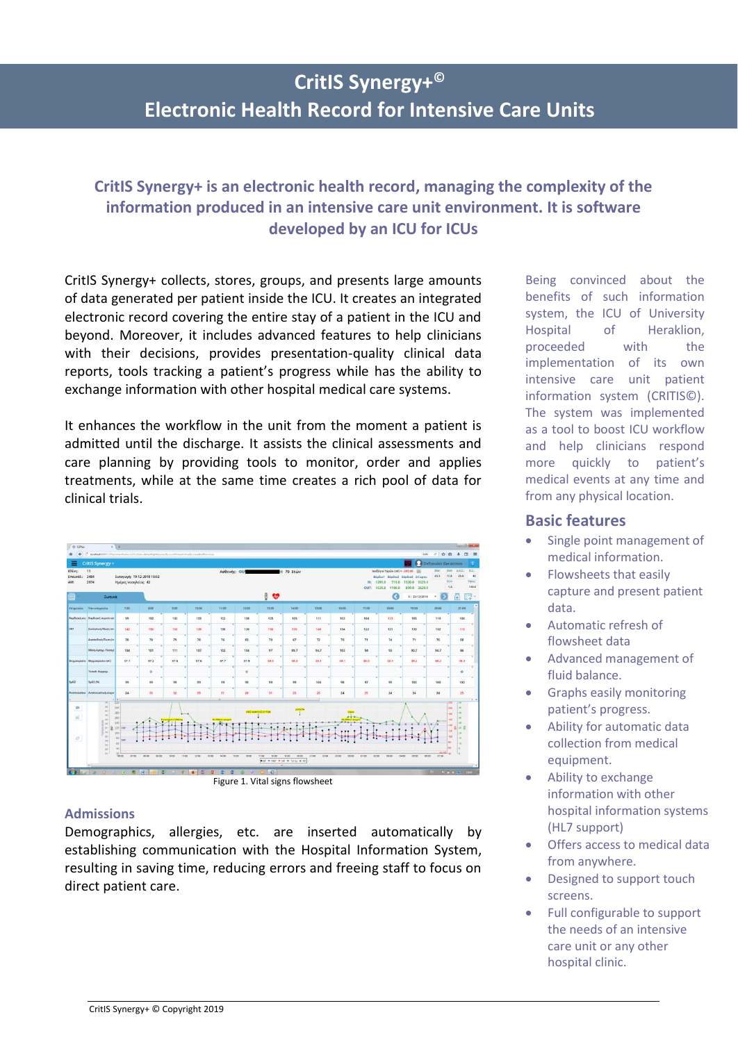# **CritIS Synergy+ © Electronic Health Record for Intensive Care Units**

# **CritIS Synergy+ is an electronic health record, managing the complexity of the information produced in an intensive care unit environment. It is software developed by an ICU for ICUs**

CritIS Synergy+ collects, stores, groups, and presents large amounts of data generated per patient inside the ICU. It creates an integrated electronic record covering the entire stay of a patient in the ICU and beyond. Moreover, it includes advanced features to help clinicians with their decisions, provides presentation-quality clinical data reports, tools tracking a patient's progress while has the ability to exchange information with other hospital medical care systems.

It enhances the workflow in the unit from the moment a patient is admitted until the discharge. It assists the clinical assessments and care planning by providing tools to monitor, order and applies treatments, while at the same time creates a rich pool of data for clinical trials.

| <b>B</b> CPM<br>$\leftarrow$<br>* | C Norther NWCSP surviving memorial complex default is problem of according and a tradicorporated from that               | $= 1/4$                                                                                                             |                |               |                                   |                                           |                                           |                |                                             |               |                                     |             |                                                                                                           |                                      |                                                                           | 11% で ☆ 命 ↓ 四 三                                             |
|-----------------------------------|--------------------------------------------------------------------------------------------------------------------------|---------------------------------------------------------------------------------------------------------------------|----------------|---------------|-----------------------------------|-------------------------------------------|-------------------------------------------|----------------|---------------------------------------------|---------------|-------------------------------------|-------------|-----------------------------------------------------------------------------------------------------------|--------------------------------------|---------------------------------------------------------------------------|-------------------------------------------------------------|
| ≡                                 | CritIS Synergy +                                                                                                         |                                                                                                                     |                |               |                                   |                                           |                                           |                |                                             |               |                                     |             |                                                                                                           |                                      | Defteraios Gerasimos -                                                    |                                                             |
| Kkivn:<br>Επεισόδ.:<br>AM:        | 11<br>3484<br>2974                                                                                                       | Εισαγωγή: 19-12-2018 19:02<br>Huépec voonkeinc: 42                                                                  |                |               | Ασθενής: ΦΙ/<br><b>H</b> 79 Etrών |                                           |                                           |                |                                             |               |                                     | IN:<br>OUT: | IdeoCoyso Yvpsov (ml) = -205.00<br>Βάρδια1 Βάρδια2 Βάρδια3 24 ώρου<br>710.0<br>1295.0<br>1630.0<br>1100.0 | 196<br>1320.0 3325.0<br>890.0 3620.0 | <b>IDW</b><br><b>SMIC</b><br>17.8<br>41.1<br><b>DSA:</b><br>1.3           | ABI:<br>18.81<br>23.0<br>40<br>Yúcc<br>150.0                |
| ⊞                                 | Zuruká                                                                                                                   |                                                                                                                     |                |               |                                   |                                           |                                           | $\frac{1}{2}$  |                                             |               |                                     |             | a                                                                                                         | 5:23/12/2018                         | <b>IS</b><br>$\sim$                                                       | 矞<br>62                                                     |
|                                   | Υπηρεσίες Υπο υπηρεσία                                                                                                   | 7,00                                                                                                                | 8:00           | 9:00          | 10:00                             | 11:00                                     | $12 - 00$                                 | 12:00          | 14:00                                       | 15:00         | 16:00                               | 77:00       | 18:00                                                                                                     | 10:00                                | 20:00                                                                     | 21:00                                                       |
|                                   | Κορδιακή σις Καρδιακή συχνέτητε                                                                                          | 99                                                                                                                  | 100            | 102           | 105                               | 102                                       | 108                                       | 105            | 105                                         | 111           | 103                                 | 104         | 123                                                                                                       | 105                                  | 110                                                                       | 104                                                         |
| ART                               | <b>Zuotokuri Nigen (m.</b>                                                                                               | 142                                                                                                                 | 136            | 150           | 138                               | 130                                       | 120                                       | 136            | 135                                         | 140           | 134                                 | 122         | 121                                                                                                       | 130                                  | 132                                                                       | 110                                                         |
|                                   | <b>Australian River In</b>                                                                                               | 70                                                                                                                  | 70             | 79            | 78                                | 76                                        | 83                                        | 70             | 67                                          | 72            | 76                                  | 71          | 74                                                                                                        | 71                                   | 76                                                                        | 68                                                          |
|                                   | Méon Apona. Minore (                                                                                                     | 104                                                                                                                 | 101            | 111           | 107                               | 102                                       | 104                                       | 97             | 89.7                                        | 94.7          | 103                                 | $^{54}$     | 93                                                                                                        | 90.7                                 | 94.7                                                                      | 86                                                          |
|                                   | <b>Drawowpomir</b> Oxyunepools (cC)                                                                                      | 37.1                                                                                                                | 37.2           | 37.5          | 37.6                              | 37.7                                      | 37.9                                      | 38.0           | 38.0                                        | 38.1          | 38.1                                | 38.0        | 38.1                                                                                                      | 38.2                                 | 38.2                                                                      | 38.3                                                        |
|                                   | Tomott. Oxpusy.                                                                                                          |                                                                                                                     | $\circ$        |               |                                   |                                           | $\circ$                                   |                |                                             |               |                                     |             |                                                                                                           |                                      |                                                                           | $\circ$                                                     |
| Sp02                              | SpO2 (%)                                                                                                                 | 99                                                                                                                  | 99             | 99            | 99                                | 99                                        | w                                         | 99             | 99                                          | 100           | 98.                                 | 97          | $^{99}$                                                                                                   | 100                                  | 100                                                                       | 100                                                         |
| AVEITWEUDTUK                      | Avenueucrowh eugen                                                                                                       | 24                                                                                                                  | 25             | 12            | 39                                | 31                                        | 28                                        | 31             | 25                                          | 25            | 24                                  | 25          | 24                                                                                                        | 24                                   | 24                                                                        | 25                                                          |
| ø<br>$\overline{M}$<br>i5         | 41<br>42<br>$41 -$<br>$\approx$<br>$^{2}$<br>t as<br>$\frac{1}{2}$<br>$_{20}$<br>$\frac{1}{2}$<br>14<br>$22 -$<br>x<br>w | $-14$<br>51<br>200<br>180<br>160<br>140<br>120 Esser<br>$100 -$<br>m<br>$^{10}$<br>at-<br>$\frac{30}{200}$<br>07:00 | os po<br>09.00 | 10.00<br>1100 | 12.00                             | <b>R. 500 ed Spought</b><br>13.00<br>1400 | <b>HET ANATOL SYPIA</b><br>15.00<br>18.00 | 17.00<br>18.00 | 19.00<br>50.00<br>BU + NEP + HE + Timp + RE | 2100<br>22.00 | وتبعر<br>$-0.4121$<br>2300<br>00:00 | 0100        | 02:00<br>03.00                                                                                            | 0400<br>cnoo<br>06:00                | 200<br>-4<br>sat<br>w<br>$\overline{a}$<br><b>ABLARY</b><br>i an<br>07.00 | $\mathcal{L}$<br>w<br>tab.<br>高田<br>von<br>$\sim$<br>٠<br>٠ |

Figure 1. Vital signs flowsheet

### **Admissions**

Demographics, allergies, etc. are inserted automatically by establishing communication with the Hospital Information System, resulting in saving time, reducing errors and freeing staff to focus on direct patient care.

Being convinced about the benefits of such information system, the ICU of University Hospital of Heraklion, proceeded with the implementation of its own intensive care unit patient information system (CRITIS©). The system was implemented as a tool to boost ICU workflow and help clinicians respond more quickly to patient's medical events at any time and from any physical location.

### **Basic features**

- Single point management of medical information.
- Flowsheets that easily capture and present patient data.
- Automatic refresh of flowsheet data
- Advanced management of fluid balance.
- Graphs easily monitoring patient's progress.
- Ability for automatic data collection from medical equipment.
- Ability to exchange information with other hospital information systems (HL7 support)
- Offers access to medical data from anywhere.
- Designed to support touch screens.
- Full configurable to support the needs of an intensive care unit or any other hospital clinic.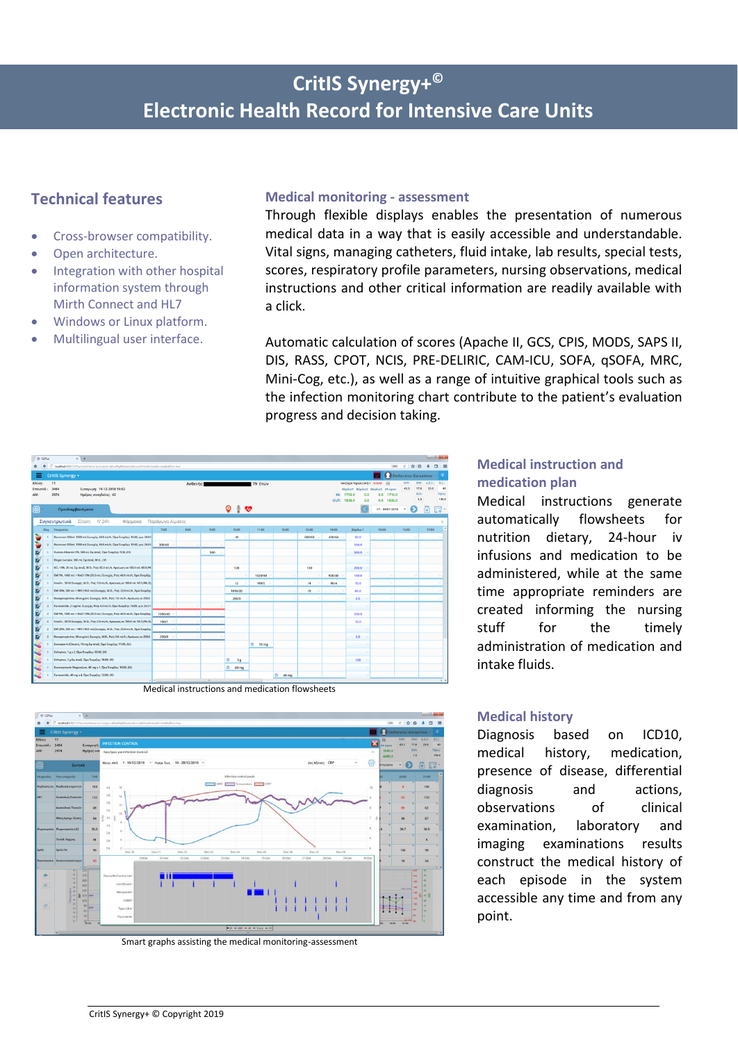# **CritIS Synergy+ © Electronic Health Record for Intensive Care Units**

## **Technical features**

- Cross-browser compatibility.
- Open architecture.
- Integration with other hospital information system through Mirth Connect and HL7
- Windows or Linux platform.
- Multilingual user interface.

#### **Medical monitoring - assessment**

Through flexible displays enables the presentation of numerous medical data in a way that is easily accessible and understandable. Vital signs, managing catheters, fluid intake, lab results, special tests, scores, respiratory profile parameters, nursing observations, medical instructions and other critical information are readily available with a click.

Automatic calculation of scores (Apache II, GCS, CPIS, MODS, SAPS II, DIS, RASS, CPOT, NCIS, PRE-DELIRIC, CAM-ICU, SOFA, qSOFA, MRC, Mini-Cog, etc.), as well as a range of intuitive graphical tools such as the infection monitoring chart contribute to the patient's evaluation progress and decision taking.



Medical instructions and medication flowsheets



Smart graphs assisting the medical monitoring-assessment

## **Medical instruction and medication plan**

Medical instructions generate automatically flowsheets for nutrition dietary, 24-hour iv infusions and medication to be administered, while at the same time appropriate reminders are created informing the nursing stuff for the timely administration of medication and intake fluids.

#### **Medical history**

Diagnosis based on ICD10, medical history, medication, presence of disease, differential diagnosis and actions, observations of clinical examination, laboratory and imaging examinations results construct the medical history of each episode in the system accessible any time and from any point.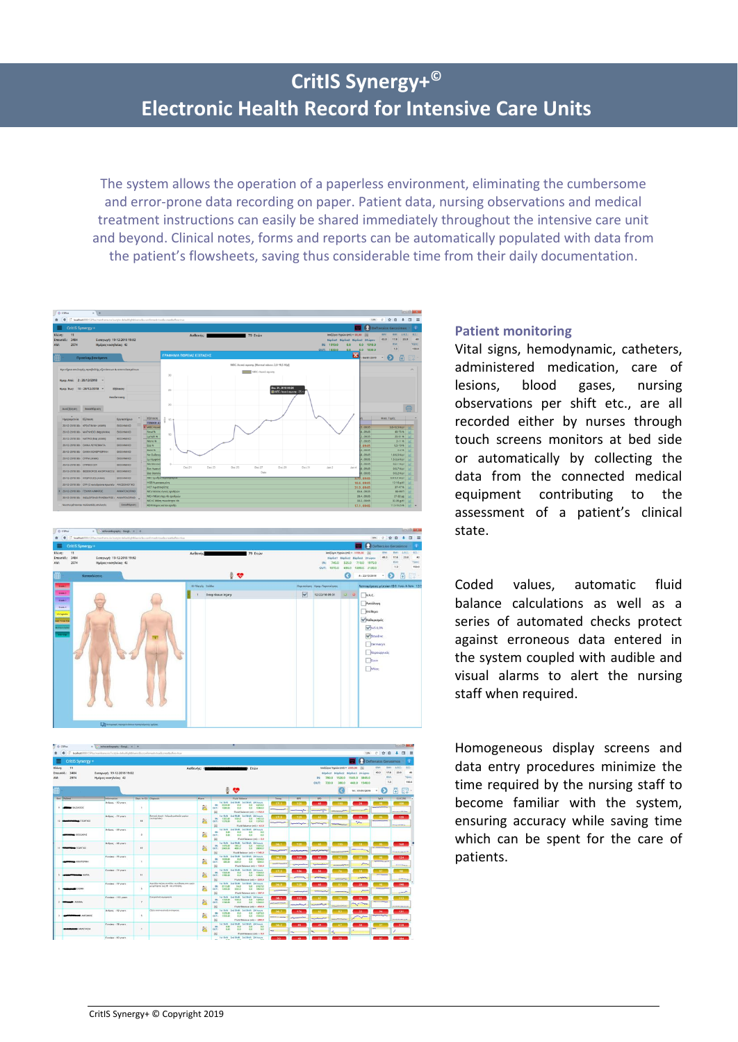The system allows the operation of a paperless environment, eliminating the cumbersome and error-prone data recording on paper. Patient data, nursing observations and medical treatment instructions can easily be shared immediately throughout the intensive care unit and beyond. Clinical notes, forms and reports can be automatically populated with data from the patient's flowsheets, saving thus considerable time from their daily documentation.





| <b>O</b> Cities                                    | x C echocardiography - Googl., x +<br>(2) Spoilback RIBI/CSPlus/mainforma.nix/iccityles-defaultiodeblusricoliccconfermants-true&commetbullancebus |                      |                                                                         |              |                                                                       | ٠                                                                                                                            |                                  |                                      |                                               |  |                         |                                                                                                                  | 109 C ☆ 自 ↓ □ 三               |                           | <b>CONTRACTOR</b>                                                                                                                                                                                                                                           |                               |
|----------------------------------------------------|---------------------------------------------------------------------------------------------------------------------------------------------------|----------------------|-------------------------------------------------------------------------|--------------|-----------------------------------------------------------------------|------------------------------------------------------------------------------------------------------------------------------|----------------------------------|--------------------------------------|-----------------------------------------------|--|-------------------------|------------------------------------------------------------------------------------------------------------------|-------------------------------|---------------------------|-------------------------------------------------------------------------------------------------------------------------------------------------------------------------------------------------------------------------------------------------------------|-------------------------------|
| CritiS Synergy +                                   |                                                                                                                                                   |                      |                                                                         |              |                                                                       |                                                                                                                              |                                  |                                      |                                               |  |                         |                                                                                                                  | Defteraios Gerasimos          |                           |                                                                                                                                                                                                                                                             |                               |
| KAIsen:<br>11<br>Emrigóő.:<br>3,48,4<br>AM<br>2974 | Εισαγωγή: 19-12-2018 19:02<br>Hudpec voorskeine: 42                                                                                               |                      | Ασθενής: 0<br><b>P</b> Etúv                                             |              |                                                                       |                                                                                                                              |                                  |                                      |                                               |  | 380.0                   | loočůvyo Yvasiry (mř.) = 2305.00 Sici<br>Répliet Réplie2 Réplie2 24-upou<br>1520.0 1545.0 3845.0<br>440.0 1540.0 | <b>IEW</b><br>43.3            | 17.8<br><b>BSA</b><br>1.3 | BMC ABT: BT:<br>23.0                                                                                                                                                                                                                                        | $-40$<br><b>Yéoc</b><br>150.0 |
| M                                                  |                                                                                                                                                   |                      |                                                                         |              | ⊕                                                                     | ❤                                                                                                                            |                                  |                                      |                                               |  |                         | 14: 01/01/2019                                                                                                   | e<br>٠                        |                           | ×                                                                                                                                                                                                                                                           |                               |
| <b>Bed Patient</b>                                 | <b>Sidomation</b>                                                                                                                                 | Days In ICP Diseases |                                                                         | <b>Alarm</b> |                                                                       | Fluid Ballance                                                                                                               | Temp.                            | <b>RPS</b>                           | 890                                           |  | $\overline{1}$          | 88                                                                                                               | 5602                          |                           | <b>GUCOST</b>                                                                                                                                                                                                                                               |                               |
| <b>SOUNDARY MARKET</b>                             | <b>Belgas</b> - 70 years                                                                                                                          | ٠                    |                                                                         | W.           | <b>NH 2230.0</b><br>CRITY:<br>1080.00<br>99                           | Tel: Shift - 2nd Shift - 3rd Shift - 24 hours<br>0.0 0.0 23300<br>0.0<br>0.0 1080.0<br>Fluid Balance (ed) - 1150.0           | $-37.3$<br><b>Miller</b>         | 120                                  | $\omega$                                      |  | 110                     | $24 -$                                                                                                           | sa.                           |                           | 108                                                                                                                                                                                                                                                         |                               |
| <b>COLORADO ANGELER</b><br>12                      | Behoor - 75 years                                                                                                                                 | is.                  | Ζητεικό shock - λούμαζη μελοκών μορίων<br>(www.molede)                  | B.           | CATT: 1370.00<br>因                                                    | for Shift - 2nd Shift - 3rd Shift - 24 hours<br>IN: 1303.0 X30.0 0.0 1433.0<br>6.0<br>0.0 1370.0<br>Fluid Edance (ml) - 63.0 | $-27.5$                          | $-129$                               | $^{62}$                                       |  | $\blacksquare$          | 25<br>$\sim$                                                                                                     | -95                           |                           | 128<br>------                                                                                                                                                                                                                                               |                               |
| <b>MONEY</b> OCCIDANCE                             | Below; - 40 years                                                                                                                                 | $\circ$              |                                                                         | in.          | <b>BAY</b><br>00 <sup>1</sup><br>CGT <sub>1</sub><br><b>DUDI</b><br>闲 | Tel: Skift - 2nd Skills - 3nd Shift - 24 hours<br>Q<br>0.0 0.0<br>Fluid Ralance (ml) = 0.8                                   |                                  |                                      |                                               |  |                         |                                                                                                                  |                               |                           |                                                                                                                                                                                                                                                             |                               |
| <b>COUNTERFIELD</b><br>n                           | Redport - 66 years                                                                                                                                | 19                   |                                                                         | 黨            | 0.000 0.000 0.000<br>阀                                                | for Shift 2nd Shift 3rd Shift 24 hours<br>84: 1470.0 185.0 0.0 1655.0<br>0.0 2800.0<br>Flold Balance (ml) = -1145.0          | 36.1                             | 120.                                 | $-65$                                         |  | 115                     | $-14.1$                                                                                                          | $-95$                         |                           | 165<br><b><i><u>Standard Control</u></i></b>                                                                                                                                                                                                                |                               |
| HOLLYAN HOME                                       | Foreign - 75 years                                                                                                                                | $\mathbf{r}$         |                                                                         | m            | 24 1030.01<br>CUT: 680.00<br>98                                       | for Shift - 2nd Shift - 3rd Shift - 24 hours<br>0.0 0.0 1030.0<br>230.0<br>0.0 900.0<br>Fluid Belance (ml) - 130.0           | 36.2<br><b><i>HARTFOLIOT</i></b> | 109.                                 | $\omega$                                      |  | 22<br><b>Allen Arts</b> | 20                                                                                                               | -98<br><b>MARKERS COMPANY</b> |                           | $-124$<br>----                                                                                                                                                                                                                                              |                               |
| <b>COMMAND MAPLE</b>                               | Foreign - 75 years                                                                                                                                | 11                   |                                                                         | p3.          | <b>M: 1550.0</b><br>00T) 1780.00<br>痫                                 | Tel: Skills, Dout Shirls, Tel: Skills, Dril houses<br>0.0 0.0 1560.0<br>0.0<br>0.0 1780.0<br>Flatd Ralance (ed) - 120.0      | 32.5<br>-                        | 106                                  | <b>SO</b>                                     |  | 26                      | -18<br><b>COLOR</b>                                                                                              | -97-                          |                           | $-98$<br><b>ALCOHOL:</b>                                                                                                                                                                                                                                    |                               |
| 65,6500                                            | Foreign - 77 years                                                                                                                                | ×                    | Aprida mias minitor evidencers upin<br>at tumipers suc 16 was unleased. | BB.          | <b>M: 2111.00</b><br>DUT: 1490.00<br>94                               | Tel Shift - 2nd Shift - 3rd Shift - 24 hours<br>14.0<br>00 21270<br>3350<br>$0.0$ 1920.0<br>Fluid Balance (ed) + 107.0       | 36.3                             | 128                                  | <b>SALE</b><br><b><i><u>SAMARAMA</u>N</i></b> |  | $\mathbf{B}$            | 241                                                                                                              | 1981<br><b>CONTRACTOR</b>     |                           | 198<br>$\overline{a}$                                                                                                                                                                                                                                       |                               |
| <b>BEAMS ACCOUNT</b>                               | Funnisco - 153 years                                                                                                                              | $\mathbf{r}$         | Evenpoked duratesy's                                                    | ŷ9.          | <b>No. 1555.00</b><br>007 1740.00<br>99                               | Tel Shift Znd Shift 3rd Shift 24 hours<br>1300 00 12900<br>0.0<br>0.01760.0<br>Fluid Balance (nd) - 450.0                    | 38.1<br>and continues.           | 152<br><b><i><u>AAAAAAAA</u></i></b> | A2<br><b>August</b> 2004                      |  |                         | 26                                                                                                               | -96.                          |                           | 153<br><b>STATISTICS</b>                                                                                                                                                                                                                                    |                               |
| DOMESTIC ORNE                                      | Rebasc - 92 years                                                                                                                                 | 5                    | Oble a grypated personal                                                | 窳            | M: 1270.00<br>0UT: 1550.00<br>Sil                                     | by Sun, 2nd State, 3rd State, 24 hours<br>0.0 0.0 1270.0<br>0.0 1550.0<br>0.0<br>Fluid Balance (nd) - (280.0                 | $-36.7$<br><b>MARKETING</b>      | $-176$<br><b>Planet</b>              | 42<br><b>September</b>                        |  |                         | 33<br><b>Vm</b>                                                                                                  | $-94$<br><b>INVESTIGATION</b> |                           | $-131.$<br><b><i><u>Property Links and Charles and Charles and Charles and Charles and Charles and Charles and Charles and Charles and Charles and Charles and Charles and Charles and Charles and Charles and Charles and Charles and Charles </u></i></b> |                               |
| <b>AIEATEASAN MINIM</b>                            | Evening - 78 years                                                                                                                                | $\mathbf{I}$         |                                                                         | ĴΛ,          | <b>MAY 1999</b><br>nm <sup>1</sup><br>CUT:<br>0.01<br>94              | to this 2nd finite 3rd finite 24 hours<br>0.0 0.0 0.0<br>0.0 0.0 0.0<br>Fluid Balance Doll - 0.8                             | $-36.2$<br><b>STATE</b>          | -85                                  | $\bullet$                                     |  |                         | <b>MA</b>                                                                                                        | $\bullet$                     |                           | 318.                                                                                                                                                                                                                                                        |                               |
|                                                    | Fundez - 83 years                                                                                                                                 |                      |                                                                         |              |                                                                       | Tel: Shift - Zoul Shift - Zol Shift - 24 hours                                                                               |                                  |                                      |                                               |  |                         |                                                                                                                  | $\mathbf{r}$                  |                           | 184                                                                                                                                                                                                                                                         |                               |

### **Patient monitoring**

Vital signs, hemodynamic, catheters, administered medication, care of lesions, blood gases, nursing observations per shift etc., are all recorded either by nurses through touch screens monitors at bed side or automatically by collecting the data from the connected medical equipment contributing to the assessment of a patient's clinical state.

Coded values, automatic fluid balance calculations as well as a series of automated checks protect against erroneous data entered in the system coupled with audible and visual alarms to alert the nursing staff when required.

Homogeneous display screens and data entry procedures minimize the time required by the nursing staff to become familiar with the system, ensuring accuracy while saving time which can be spent for the care of patients.